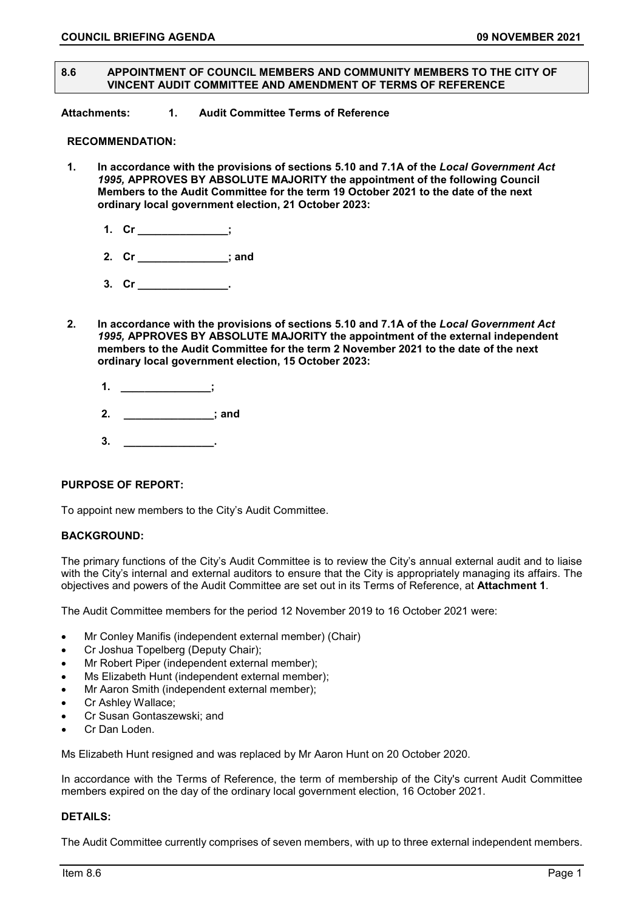#### **8.6 APPOINTMENT OF COUNCIL MEMBERS AND COMMUNITY MEMBERS TO THE CITY OF VINCENT AUDIT COMMITTEE AND AMENDMENT OF TERMS OF REFERENCE**

**Attachments: 1. Audit Committee Terms of Reference** 

### **RECOMMENDATION:**

- **1. In accordance with the provisions of sections 5.10 and 7.1A of the** *Local Government Act 1995,* **APPROVES BY ABSOLUTE MAJORITY the appointment of the following Council Members to the Audit Committee for the term 19 October 2021 to the date of the next ordinary local government election, 21 October 2023:**
	- **1. Cr \_\_\_\_\_\_\_\_\_\_\_\_\_\_\_;**
	- **2. Cr \_\_\_\_\_\_\_\_\_\_\_\_\_\_\_; and**
	- **3. Cr \_\_\_\_\_\_\_\_\_\_\_\_\_\_\_.**
- **2. In accordance with the provisions of sections 5.10 and 7.1A of the** *Local Government Act 1995,* **APPROVES BY ABSOLUTE MAJORITY the appointment of the external independent members to the Audit Committee for the term 2 November 2021 to the date of the next ordinary local government election, 15 October 2023:**
	- **1. \_\_\_\_\_\_\_\_\_\_\_\_\_\_\_;**
	- **2. \_\_\_\_\_\_\_\_\_\_\_\_\_\_\_; and**
	- **3. \_\_\_\_\_\_\_\_\_\_\_\_\_\_\_.**

### **PURPOSE OF REPORT:**

To appoint new members to the City's Audit Committee.

#### **BACKGROUND:**

The primary functions of the City's Audit Committee is to review the City's annual external audit and to liaise with the City's internal and external auditors to ensure that the City is appropriately managing its affairs. The objectives and powers of the Audit Committee are set out in its Terms of Reference, at **Attachment 1**.

The Audit Committee members for the period 12 November 2019 to 16 October 2021 were:

- Mr Conley Manifis (independent external member) (Chair)
- Cr Joshua Topelberg (Deputy Chair);
- Mr Robert Piper (independent external member);
- Ms Elizabeth Hunt (independent external member);
- Mr Aaron Smith (independent external member);
- Cr Ashley Wallace;
- Cr Susan Gontaszewski; and
- Cr Dan Loden.

Ms Elizabeth Hunt resigned and was replaced by Mr Aaron Hunt on 20 October 2020.

In accordance with the Terms of Reference, the term of membership of the City's current Audit Committee members expired on the day of the ordinary local government election, 16 October 2021.

#### **DETAILS:**

The Audit Committee currently comprises of seven members, with up to three external independent members.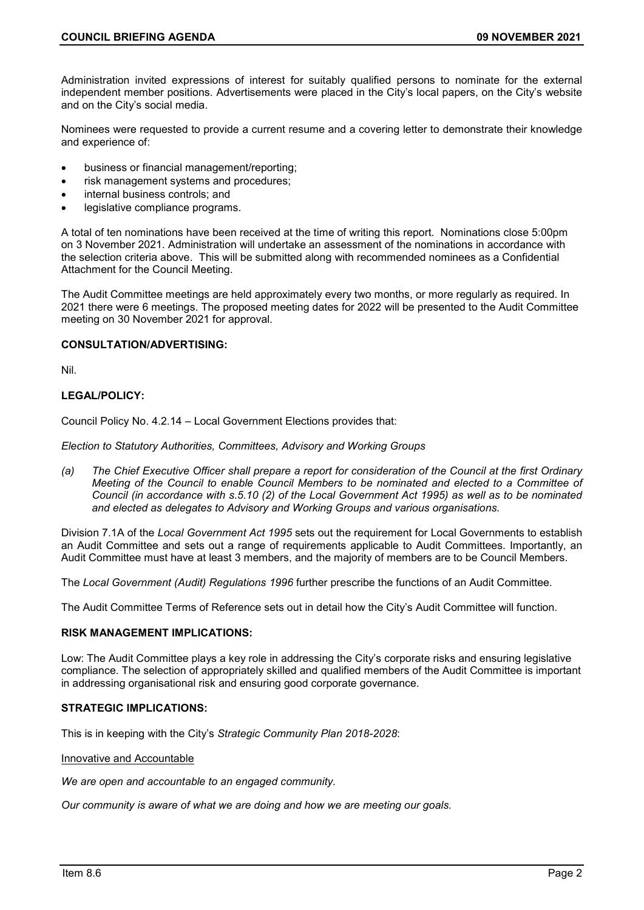Administration invited expressions of interest for suitably qualified persons to nominate for the external independent member positions. Advertisements were placed in the City's local papers, on the City's website and on the City's social media.

Nominees were requested to provide a current resume and a covering letter to demonstrate their knowledge and experience of:

- business or financial management/reporting;
- risk management systems and procedures;
- internal business controls; and
- legislative compliance programs.

A total of ten nominations have been received at the time of writing this report. Nominations close 5:00pm on 3 November 2021. Administration will undertake an assessment of the nominations in accordance with the selection criteria above. This will be submitted along with recommended nominees as a Confidential Attachment for the Council Meeting.

The Audit Committee meetings are held approximately every two months, or more regularly as required. In 2021 there were 6 meetings. The proposed meeting dates for 2022 will be presented to the Audit Committee meeting on 30 November 2021 for approval.

### **CONSULTATION/ADVERTISING:**

Nil.

# **LEGAL/POLICY:**

Council Policy No. 4.2.14 – Local Government Elections provides that:

*Election to Statutory Authorities, Committees, Advisory and Working Groups*

*(a) The Chief Executive Officer shall prepare a report for consideration of the Council at the first Ordinary Meeting of the Council to enable Council Members to be nominated and elected to a Committee of Council (in accordance with s.5.10 (2) of the Local Government Act 1995) as well as to be nominated and elected as delegates to Advisory and Working Groups and various organisations.*

Division 7.1A of the *Local Government Act 1995* sets out the requirement for Local Governments to establish an Audit Committee and sets out a range of requirements applicable to Audit Committees. Importantly, an Audit Committee must have at least 3 members, and the majority of members are to be Council Members.

The *Local Government (Audit) Regulations 1996* further prescribe the functions of an Audit Committee.

The Audit Committee Terms of Reference sets out in detail how the City's Audit Committee will function.

#### **RISK MANAGEMENT IMPLICATIONS:**

Low: The Audit Committee plays a key role in addressing the City's corporate risks and ensuring legislative compliance. The selection of appropriately skilled and qualified members of the Audit Committee is important in addressing organisational risk and ensuring good corporate governance.

### **STRATEGIC IMPLICATIONS:**

This is in keeping with the City's *Strategic Community Plan 2018-2028*:

### Innovative and Accountable

*We are open and accountable to an engaged community.*

*Our community is aware of what we are doing and how we are meeting our goals.*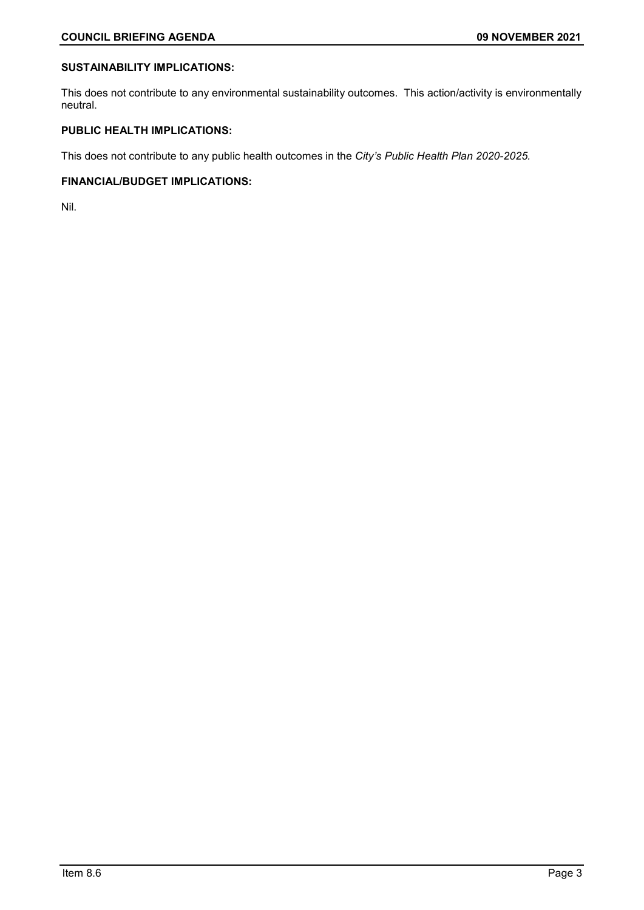### **SUSTAINABILITY IMPLICATIONS:**

This does not contribute to any environmental sustainability outcomes. This action/activity is environmentally neutral.

## **PUBLIC HEALTH IMPLICATIONS:**

This does not contribute to any public health outcomes in the *City's Public Health Plan 2020-2025.*

### **FINANCIAL/BUDGET IMPLICATIONS:**

Nil.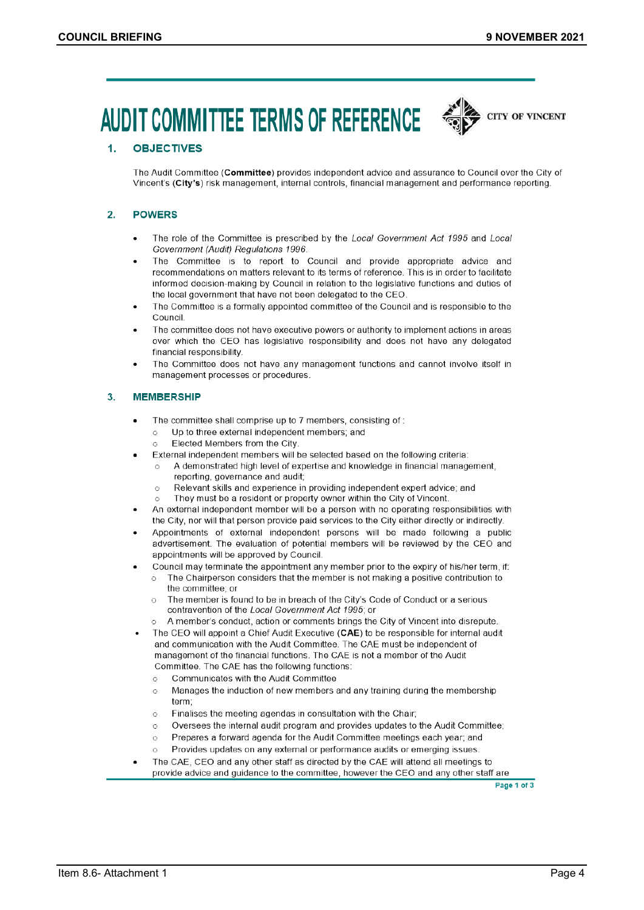# **AUDIT COMMITTEE TERMS OF REFERENCE**



#### **OBJECTIVES**  $\mathbf{1}$

The Audit Committee (Committee) provides independent advice and assurance to Council over the City of Vincent's (City's) risk management, internal controls, financial management and performance reporting.

#### $\overline{2}$ . **POWERS**

- The role of the Committee is prescribed by the Local Government Act 1995 and Local  $\blacksquare$ Government (Audit) Regulations 1996.
- The Committee is to report to Council and provide appropriate advice and recommendations on matters relevant to its terms of reference. This is in order to facilitate informed decision-making by Council in relation to the legislative functions and duties of the local government that have not been delegated to the CEO.
- The Committee is a formally appointed committee of the Council and is responsible to the Council
- The committee does not have executive powers or authority to implement actions in areas over which the CEO has legislative responsibility and does not have any delegated financial responsibility.
- The Committee does not have any management functions and cannot involve itself in management processes or procedures.

#### 3. **MEMBERSHIP**

- The committee shall comprise up to 7 members, consisting of:  $\bullet$ 
	- Up to three external independent members; and  $\Omega$
	- Elected Members from the City  $\bigcap$
- External independent members will be selected based on the following criteria:
	- A demonstrated high level of expertise and knowledge in financial management, reporting, governance and audit;
	- $\circ$ Relevant skills and experience in providing independent expert advice; and
	- They must be a resident or property owner within the City of Vincent.  $\circ$
- An external independent member will be a person with no operating responsibilities with the City, nor will that person provide paid services to the City either directly or indirectly.
- Appointments of external independent persons will be made following a public advertisement. The evaluation of potential members will be reviewed by the CEO and appointments will be approved by Council.
	- Council may terminate the appointment any member prior to the expiry of his/her term, if:
	- The Chairperson considers that the member is not making a positive contribution to  $\bigcirc$ the committee; or
		- The member is found to be in breach of the City's Code of Conduct or a serious  $\circ$ contravention of the Local Government Act 1995; or
		- o A member's conduct, action or comments brings the City of Vincent into disrepute.
- The CEO will appoint a Chief Audit Executive (CAE) to be responsible for internal audit and communication with the Audit Committee. The CAE must be independent of management of the financial functions. The CAE is not a member of the Audit Committee. The CAE has the following functions:
	- Communicates with the Audit Committee  $\circ$
	- Manages the induction of new members and any training during the membership  $\circ$ term:
	- Finalises the meeting agendas in consultation with the Chair;  $\circ$
	- Oversees the internal audit program and provides updates to the Audit Committee;  $\circ$
	- Prepares a forward agenda for the Audit Committee meetings each year; and  $\circ$
	- Provides updates on any external or performance audits or emerging issues.  $\circ$
- The CAE, CEO and any other staff as directed by the CAE will attend all meetings to provide advice and guidance to the committee, however the CEO and any other staff are

Page 1 of 3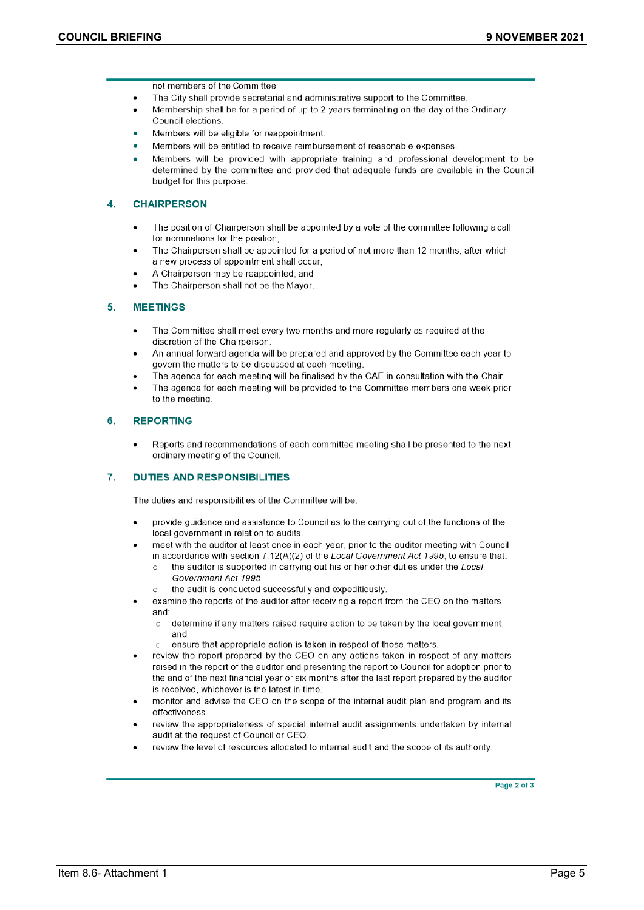not members of the Committee

- The City shall provide secretarial and administrative support to the Committee
- Membership shall be for a period of up to 2 years terminating on the day of the Ordinary Council elections
- Members will be eligible for reappointment.
- Members will be entitled to receive reimbursement of reasonable expenses.
- Members will be provided with appropriate training and professional development to be determined by the committee and provided that adequate funds are available in the Council budget for this purpose.

#### 4. **CHAIRPERSON**

- The position of Chairperson shall be appointed by a vote of the committee following a call for nominations for the position:
- The Chairperson shall be appointed for a period of not more than 12 months, after which a new process of appointment shall occur;
- A Chairperson may be reappointed; and
- The Chairperson shall not be the Mayor.

#### 5. **MEETINGS**

- The Committee shall meet every two months and more regularly as required at the discretion of the Chairperson.
- An annual forward agenda will be prepared and approved by the Committee each year to govern the matters to be discussed at each meeting
- The agenda for each meeting will be finalised by the CAE in consultation with the Chair.
- The agenda for each meeting will be provided to the Committee members one week prior to the meeting

#### 6. **REPORTING**

Reports and recommendations of each committee meeting shall be presented to the next  $\bullet$ ordinary meeting of the Council.

#### 7. **DUTIES AND RESPONSIBILITIES**

The duties and responsibilities of the Committee will be:

- provide guidance and assistance to Council as to the carrying out of the functions of the local government in relation to audits.
- meet with the auditor at least once in each year, prior to the auditor meeting with Council in accordance with section 7.12(A)(2) of the Local Government Act 1995, to ensure that:
	- the auditor is supported in carrying out his or her other duties under the Local Government Act 1995
- the audit is conducted successfully and expeditiously.  $\circ$
- examine the reports of the auditor after receiving a report from the CEO on the matters and:
	- determine if any matters raised require action to be taken by the local government;  $\circ$ and
	- ensure that appropriate action is taken in respect of those matters.  $\circ$
- review the report prepared by the CEO on any actions taken in respect of any matters raised in the report of the auditor and presenting the report to Council for adoption prior to the end of the next financial year or six months after the last report prepared by the auditor is received, whichever is the latest in time.
- monitor and advise the CEO on the scope of the internal audit plan and program and its effectiveness
- review the appropriateness of special internal audit assignments undertaken by internal audit at the request of Council or CEO.
- review the level of resources allocated to internal audit and the scope of its authority.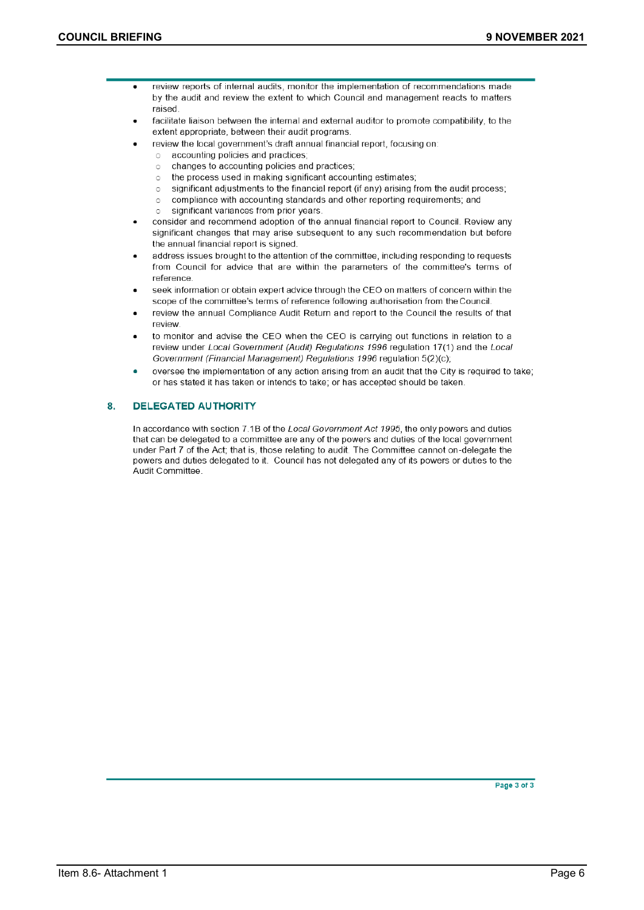- review reports of internal audits, monitor the implementation of recommendations made  $\bullet$ by the audit and review the extent to which Council and management reacts to matters raised
	- facilitate liaison between the internal and external auditor to promote compatibility, to the extent appropriate, between their audit programs.
	- review the local government's draft annual financial report, focusing on:
		- accounting policies and practices;  $\circ$
		- changes to accounting policies and practices;  $\circ$
		- the process used in making significant accounting estimates;  $\circ$
		- significant adjustments to the financial report (if any) arising from the audit process:  $\circ$
		- compliance with accounting standards and other reporting requirements; and  $\circ$
		- significant variances from prior years.  $\circ$
	- consider and recommend adoption of the annual financial report to Council. Review any significant changes that may arise subsequent to any such recommendation but before the annual financial report is signed.
	- address issues brought to the attention of the committee, including responding to requests from Council for advice that are within the parameters of the committee's terms of reference
	- seek information or obtain expert advice through the CEO on matters of concern within the scope of the committee's terms of reference following authorisation from the Council.
- review the annual Compliance Audit Return and report to the Council the results of that review.
- to monitor and advise the CEO when the CEO is carrying out functions in relation to a review under Local Government (Audit) Regulations 1996 regulation 17(1) and the Local Government (Financial Management) Regulations 1996 regulation 5(2)(c);
- oversee the implementation of any action arising from an audit that the City is required to take; or has stated it has taken or intends to take; or has accepted should be taken.

#### 8. **DELEGATED AUTHORITY**

In accordance with section 7.1B of the Local Government Act 1995, the only powers and duties that can be delegated to a committee are any of the powers and duties of the local government under Part 7 of the Act; that is, those relating to audit. The Committee cannot on-delegate the powers and duties delegated to it. Council has not delegated any of its powers or duties to the Audit Committee.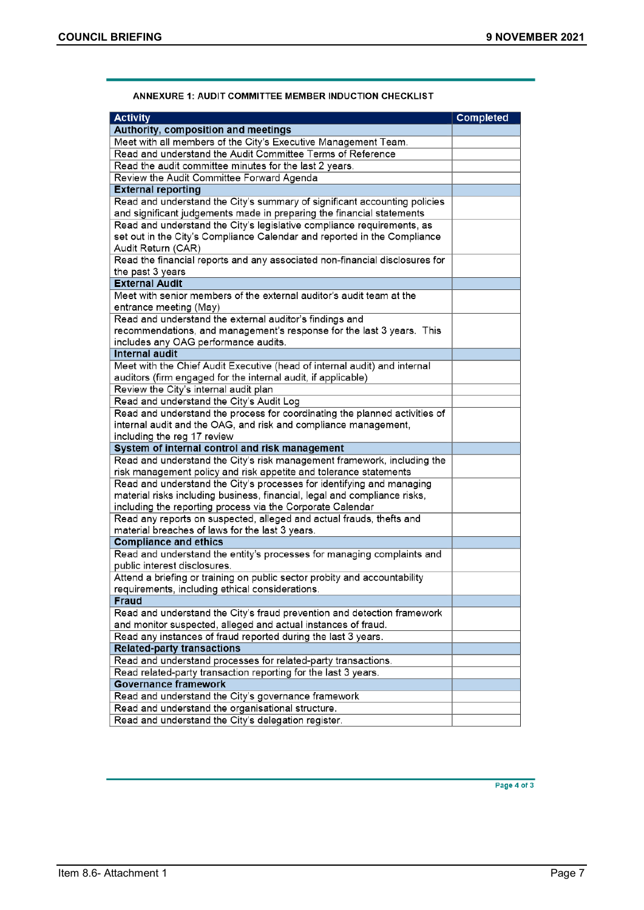| <b>Activity</b>                                                                                                         | <b>Completed</b> |
|-------------------------------------------------------------------------------------------------------------------------|------------------|
| Authority, composition and meetings                                                                                     |                  |
| Meet with all members of the City's Executive Management Team.                                                          |                  |
| Read and understand the Audit Committee Terms of Reference                                                              |                  |
| Read the audit committee minutes for the last 2 years.                                                                  |                  |
| Review the Audit Committee Forward Agenda                                                                               |                  |
| <b>External reporting</b>                                                                                               |                  |
| Read and understand the City's summary of significant accounting policies                                               |                  |
| and significant judgements made in preparing the financial statements                                                   |                  |
| Read and understand the City's legislative compliance requirements, as                                                  |                  |
| set out in the City's Compliance Calendar and reported in the Compliance                                                |                  |
| Audit Return (CAR)                                                                                                      |                  |
| Read the financial reports and any associated non-financial disclosures for                                             |                  |
| the past 3 years                                                                                                        |                  |
| <b>External Audit</b>                                                                                                   |                  |
| Meet with senior members of the external auditor's audit team at the                                                    |                  |
| entrance meeting (May)                                                                                                  |                  |
| Read and understand the external auditor's findings and                                                                 |                  |
| recommendations, and management's response for the last 3 years. This                                                   |                  |
| includes any OAG performance audits.                                                                                    |                  |
| <b>Internal audit</b>                                                                                                   |                  |
| Meet with the Chief Audit Executive (head of internal audit) and internal                                               |                  |
| auditors (firm engaged for the internal audit, if applicable)                                                           |                  |
| Review the City's internal audit plan                                                                                   |                  |
| Read and understand the City's Audit Log                                                                                |                  |
| Read and understand the process for coordinating the planned activities of                                              |                  |
| internal audit and the OAG, and risk and compliance management,                                                         |                  |
| including the reg 17 review                                                                                             |                  |
| System of internal control and risk management                                                                          |                  |
| Read and understand the City's risk management framework, including the                                                 |                  |
| risk management policy and risk appetite and tolerance statements                                                       |                  |
| Read and understand the City's processes for identifying and managing                                                   |                  |
| material risks including business, financial, legal and compliance risks,                                               |                  |
| including the reporting process via the Corporate Calendar                                                              |                  |
| Read any reports on suspected, alleged and actual frauds, thefts and<br>material breaches of laws for the last 3 years. |                  |
| <b>Compliance and ethics</b>                                                                                            |                  |
| Read and understand the entity's processes for managing complaints and                                                  |                  |
| public interest disclosures.                                                                                            |                  |
| Attend a briefing or training on public sector probity and accountability                                               |                  |
| requirements, including ethical considerations.                                                                         |                  |
| Fraud                                                                                                                   |                  |
| Read and understand the City's fraud prevention and detection framework                                                 |                  |
| and monitor suspected, alleged and actual instances of fraud.                                                           |                  |
| Read any instances of fraud reported during the last 3 years.                                                           |                  |
| <b>Related-party transactions</b>                                                                                       |                  |
| Read and understand processes for related-party transactions.                                                           |                  |
| Read related-party transaction reporting for the last 3 years.                                                          |                  |
| <b>Governance framework</b>                                                                                             |                  |
| Read and understand the City's governance framework                                                                     |                  |
| Read and understand the organisational structure.                                                                       |                  |
| Read and understand the City's delegation register.                                                                     |                  |

### ANNEXURE 1: AUDIT COMMITTEE MEMBER INDUCTION CHECKLIST

Page 4 of 3